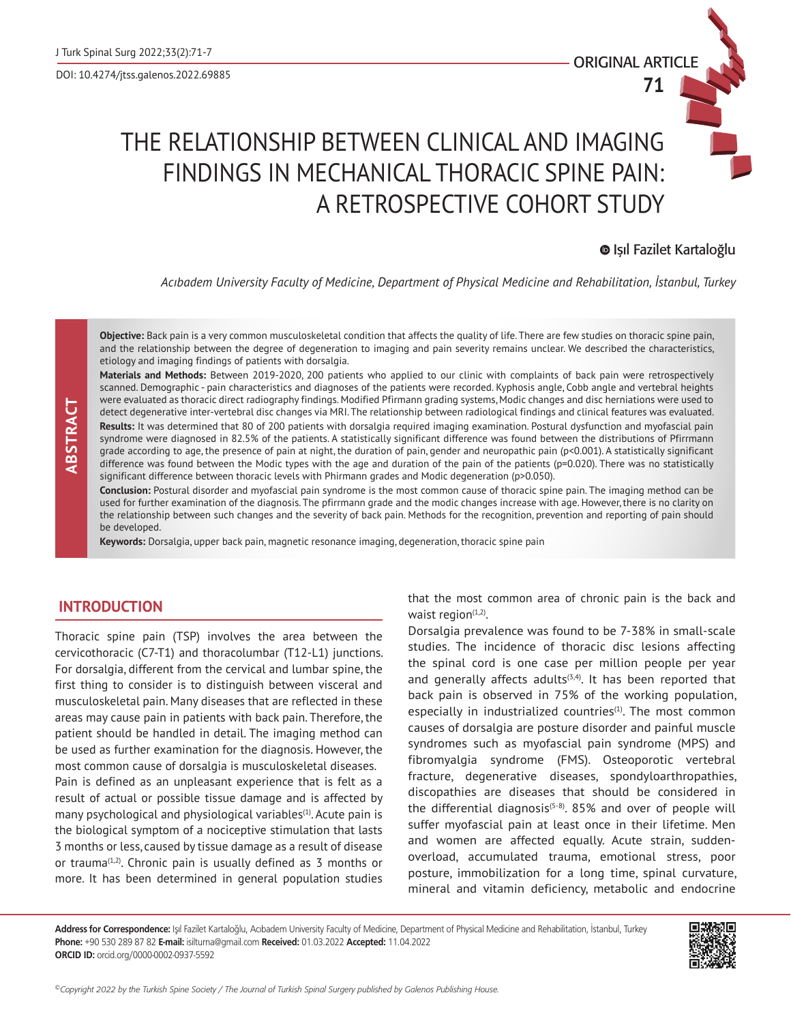**71**

# THE RELATIONSHIP BETWEEN CLINICAL AND IMAGING FINDINGS IN MECHANICAL THORACIC SPINE PAIN: A RETROSPECTIVE COHORT STUDY

## Işıl Fazilet Kartaloğlu

*Acıbadem University Faculty of Medicine, Department of Physical Medicine and Rehabilitation, İstanbul, Turkey*

**Objective:** Back pain is a very common musculoskeletal condition that affects the quality of life. There are few studies on thoracic spine pain, and the relationship between the degree of degeneration to imaging and pain severity remains unclear. We described the characteristics, etiology and imaging findings of patients with dorsalgia.

**Materials and Methods:** Between 2019-2020, 200 patients who applied to our clinic with complaints of back pain were retrospectively scanned. Demographic - pain characteristics and diagnoses of the patients were recorded. Kyphosis angle, Cobb angle and vertebral heights were evaluated as thoracic direct radiography findings. Modified Pfirmann grading systems, Modic changes and disc herniations were used to detect degenerative inter-vertebral disc changes via MRI. The relationship between radiological findings and clinical features was evaluated. **Results:** It was determined that 80 of 200 patients with dorsalgia required imaging examination. Postural dysfunction and myofascial pain syndrome were diagnosed in 82.5% of the patients. A statistically significant difference was found between the distributions of Pfirrmann grade according to age, the presence of pain at night, the duration of pain, gender and neuropathic pain (p<0.001). A statistically significant difference was found between the Modic types with the age and duration of the pain of the patients (p=0.020). There was no statistically significant difference between thoracic levels with Phirmann grades and Modic degeneration (p>0.050).

**Conclusion:** Postural disorder and myofascial pain syndrome is the most common cause of thoracic spine pain. The imaging method can be used for further examination of the diagnosis. The pfirrmann grade and the modic changes increase with age. However, there is no clarity on the relationship between such changes and the severity of back pain. Methods for the recognition, prevention and reporting of pain should be developed.

**Keywords:** Dorsalgia, upper back pain, magnetic resonance imaging, degeneration, thoracic spine pain

## **INTRODUCTION**

 **ABSTRACT**

**BSTRACT** 

Thoracic spine pain (TSP) involves the area between the cervicothoracic (C7-T1) and thoracolumbar (T12-L1) junctions. For dorsalgia, different from the cervical and lumbar spine, the first thing to consider is to distinguish between visceral and musculoskeletal pain. Many diseases that are reflected in these areas may cause pain in patients with back pain. Therefore, the patient should be handled in detail. The imaging method can be used as further examination for the diagnosis. However, the most common cause of dorsalgia is musculoskeletal diseases. Pain is defined as an unpleasant experience that is felt as a result of actual or possible tissue damage and is affected by many psychological and physiological variables $(1)$ . Acute pain is the biological symptom of a nociceptive stimulation that lasts 3 months or less, caused by tissue damage as a result of disease or trauma<sup> $(1,2)$ </sup>. Chronic pain is usually defined as 3 months or more. It has been determined in general population studies

that the most common area of chronic pain is the back and waist region $(1,2)$ .

Dorsalgia prevalence was found to be 7-38% in small-scale studies. The incidence of thoracic disc lesions affecting the spinal cord is one case per million people per year and generally affects adults $(3,4)$ . It has been reported that back pain is observed in 75% of the working population, especially in industrialized countries<sup>(1)</sup>. The most common causes of dorsalgia are posture disorder and painful muscle syndromes such as myofascial pain syndrome (MPS) and fibromyalgia syndrome (FMS). Osteoporotic vertebral fracture, degenerative diseases, spondyloarthropathies, discopathies are diseases that should be considered in the differential diagnosis<sup>(5-8)</sup>. 85% and over of people will suffer myofascial pain at least once in their lifetime. Men and women are affected equally. Acute strain, suddenoverload, accumulated trauma, emotional stress, poor posture, immobilization for a long time, spinal curvature, mineral and vitamin deficiency, metabolic and endocrine

**Address for Correspondence:** Işıl Fazilet Kartaloğlu, Acıbadem University Faculty of Medicine, Department of Physical Medicine and Rehabilitation, İstanbul, Turkey **Phone:** +90 530 289 87 82 **E-mail:** isilturna@gmail.com **Received:** 01.03.2022 **Accepted:** 11.04.2022 **ORCID ID:** orcid.org/0000-0002-0937-5592

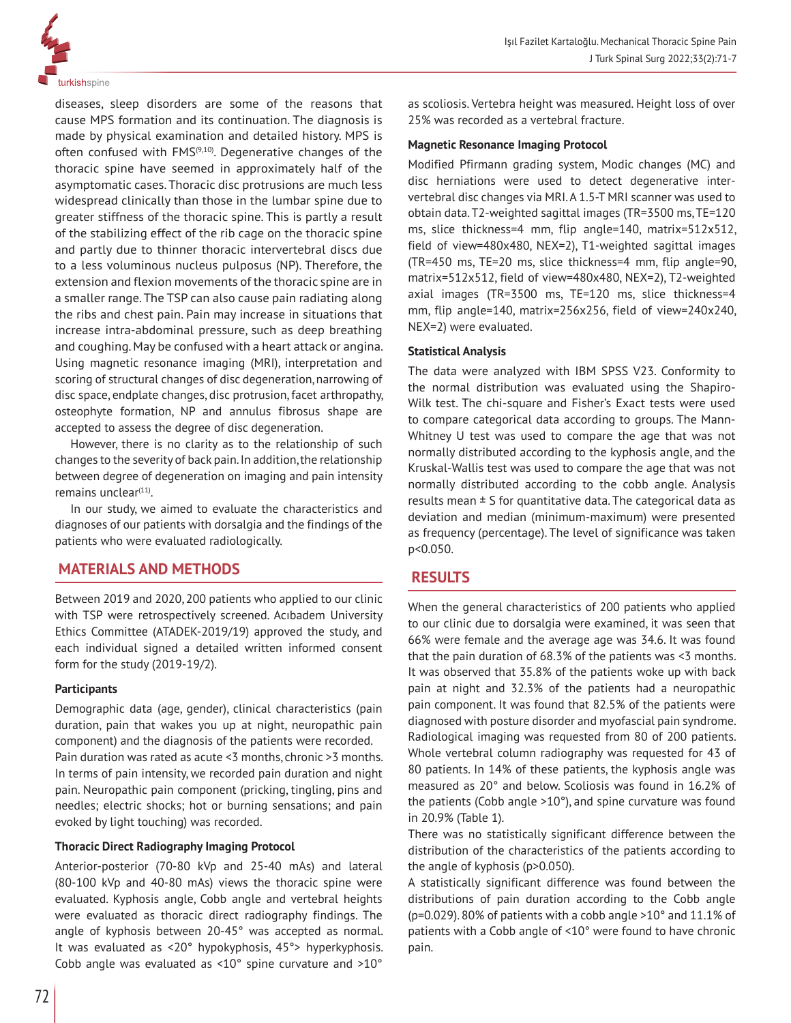

diseases, sleep disorders are some of the reasons that cause MPS formation and its continuation. The diagnosis is made by physical examination and detailed history. MPS is often confused with  $FMS<sup>(9,10)</sup>$ . Degenerative changes of the thoracic spine have seemed in approximately half of the asymptomatic cases. Thoracic disc protrusions are much less widespread clinically than those in the lumbar spine due to greater stiffness of the thoracic spine. This is partly a result of the stabilizing effect of the rib cage on the thoracic spine and partly due to thinner thoracic intervertebral discs due to a less voluminous nucleus pulposus (NP). Therefore, the extension and flexion movements of the thoracic spine are in a smaller range. The TSP can also cause pain radiating along the ribs and chest pain. Pain may increase in situations that increase intra-abdominal pressure, such as deep breathing and coughing. May be confused with a heart attack or angina. Using magnetic resonance imaging (MRI), interpretation and scoring of structural changes of disc degeneration, narrowing of disc space, endplate changes, disc protrusion, facet arthropathy, osteophyte formation, NP and annulus fibrosus shape are accepted to assess the degree of disc degeneration.

However, there is no clarity as to the relationship of such changes to the severity of back pain. In addition, the relationship between degree of degeneration on imaging and pain intensity remains unclear $(11)$ .

In our study, we aimed to evaluate the characteristics and diagnoses of our patients with dorsalgia and the findings of the patients who were evaluated radiologically.

## **MATERIALS AND METHODS**

Between 2019 and 2020, 200 patients who applied to our clinic with TSP were retrospectively screened. Acıbadem University Ethics Committee (ATADEK-2019/19) approved the study, and each individual signed a detailed written informed consent form for the study (2019-19/2).

#### **Participants**

Demographic data (age, gender), clinical characteristics (pain duration, pain that wakes you up at night, neuropathic pain component) and the diagnosis of the patients were recorded. Pain duration was rated as acute <3 months, chronic >3 months. In terms of pain intensity, we recorded pain duration and night pain. Neuropathic pain component (pricking, tingling, pins and needles; electric shocks; hot or burning sensations; and pain evoked by light touching) was recorded.

#### **Thoracic Direct Radiography Imaging Protocol**

Anterior-posterior (70-80 kVp and 25-40 mAs) and lateral (80-100 kVp and 40-80 mAs) views the thoracic spine were evaluated. Kyphosis angle, Cobb angle and vertebral heights were evaluated as thoracic direct radiography findings. The angle of kyphosis between 20-45° was accepted as normal. It was evaluated as <20° hypokyphosis, 45°> hyperkyphosis. Cobb angle was evaluated as <10° spine curvature and >10° as scoliosis. Vertebra height was measured. Height loss of over 25% was recorded as a vertebral fracture.

## **Magnetic Resonance Imaging Protocol**

Modified Pfirmann grading system, Modic changes (MC) and disc herniations were used to detect degenerative intervertebral disc changes via MRI. A 1.5-T MRI scanner was used to obtain data. T2-weighted sagittal images (TR=3500 ms, TE=120 ms, slice thickness=4 mm, flip angle=140, matrix=512x512, field of view=480x480, NEX=2), T1-weighted sagittal images (TR=450 ms, TE=20 ms, slice thickness=4 mm, flip angle=90, matrix=512x512, field of view=480x480, NEX=2), T2-weighted axial images (TR=3500 ms, TE=120 ms, slice thickness=4 mm, flip angle=140, matrix=256x256, field of view=240x240, NEX=2) were evaluated.

## **Statistical Analysis**

The data were analyzed with IBM SPSS V23. Conformity to the normal distribution was evaluated using the Shapiro-Wilk test. The chi-square and Fisher's Exact tests were used to compare categorical data according to groups. The Mann-Whitney U test was used to compare the age that was not normally distributed according to the kyphosis angle, and the Kruskal-Wallis test was used to compare the age that was not normally distributed according to the cobb angle. Analysis results mean  $\pm$  S for quantitative data. The categorical data as deviation and median (minimum-maximum) were presented as frequency (percentage). The level of significance was taken p<0.050.

## **RESULTS**

When the general characteristics of 200 patients who applied to our clinic due to dorsalgia were examined, it was seen that 66% were female and the average age was 34.6. It was found that the pain duration of 68.3% of the patients was <3 months. It was observed that 35.8% of the patients woke up with back pain at night and 32.3% of the patients had a neuropathic pain component. It was found that 82.5% of the patients were diagnosed with posture disorder and myofascial pain syndrome. Radiological imaging was requested from 80 of 200 patients. Whole vertebral column radiography was requested for 43 of 80 patients. In 14% of these patients, the kyphosis angle was measured as 20° and below. Scoliosis was found in 16.2% of the patients (Cobb angle >10°), and spine curvature was found in 20.9% (Table 1).

There was no statistically significant difference between the distribution of the characteristics of the patients according to the angle of kyphosis (p>0.050).

A statistically significant difference was found between the distributions of pain duration according to the Cobb angle (p=0.029). 80% of patients with a cobb angle >10° and 11.1% of patients with a Cobb angle of <10° were found to have chronic pain.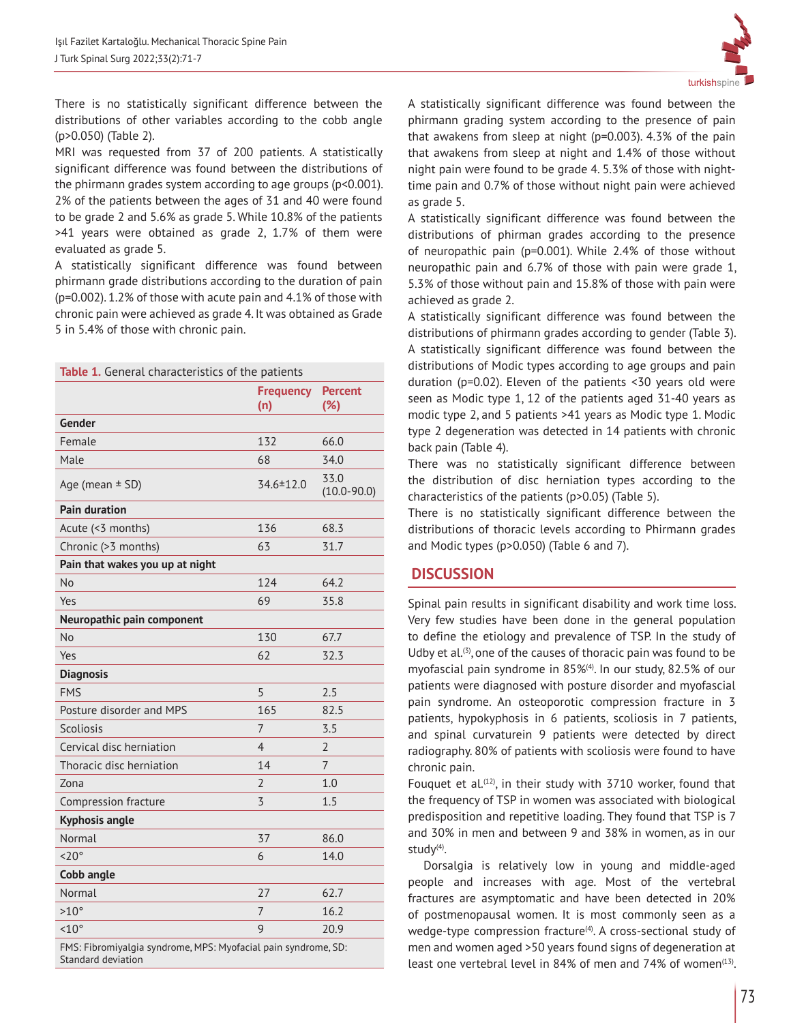

There is no statistically significant difference between the distributions of other variables according to the cobb angle (p>0.050) (Table 2).

MRI was requested from 37 of 200 patients. A statistically significant difference was found between the distributions of the phirmann grades system according to age groups (p<0.001). 2% of the patients between the ages of 31 and 40 were found to be grade 2 and 5.6% as grade 5. While 10.8% of the patients >41 years were obtained as grade 2, 1.7% of them were evaluated as grade 5.

A statistically significant difference was found between phirmann grade distributions according to the duration of pain (p=0.002). 1.2% of those with acute pain and 4.1% of those with chronic pain were achieved as grade 4. It was obtained as Grade 5 in 5.4% of those with chronic pain.

|                                                                                      | <b>Frequency</b><br>(n) | <b>Percent</b><br>(%)   |
|--------------------------------------------------------------------------------------|-------------------------|-------------------------|
| Gender                                                                               |                         |                         |
| Female                                                                               | 132                     | 66.0                    |
| Male                                                                                 | 68                      | 34.0                    |
| Age (mean $\pm$ SD)                                                                  | 34.6 ± 12.0             | 33.0<br>$(10.0 - 90.0)$ |
| <b>Pain duration</b>                                                                 |                         |                         |
| Acute (<3 months)                                                                    | 136                     | 68.3                    |
| Chronic (>3 months)                                                                  | 63                      | 31.7                    |
| Pain that wakes you up at night                                                      |                         |                         |
| No                                                                                   | 124                     | 64.2                    |
| Yes                                                                                  | 69                      | 35.8                    |
| Neuropathic pain component                                                           |                         |                         |
| <b>No</b>                                                                            | 130                     | 67.7                    |
| Yes                                                                                  | 62                      | 32.3                    |
| <b>Diagnosis</b>                                                                     |                         |                         |
| <b>FMS</b>                                                                           | 5                       | 2.5                     |
| Posture disorder and MPS                                                             | 165                     | 82.5                    |
| <b>Scoliosis</b>                                                                     | 7                       | 3.5                     |
| Cervical disc herniation                                                             | $\overline{4}$          | $\overline{2}$          |
| Thoracic disc herniation                                                             | 14                      | 7                       |
| Zona                                                                                 | $\overline{2}$          | 1.0                     |
| Compression fracture                                                                 | $\overline{3}$          | 1.5                     |
| <b>Kyphosis angle</b>                                                                |                         |                         |
| Normal                                                                               | 37                      | 86.0                    |
| $< 20^\circ$                                                                         | 6                       | 14.0                    |
| Cobb angle                                                                           |                         |                         |
| Normal                                                                               | 27                      | 62.7                    |
| $>10^{\circ}$                                                                        | $\overline{7}$          | 16.2                    |
| $< 10^{\circ}$                                                                       | 9                       | 20.9                    |
| FMS: Fibromiyalgia syndrome, MPS: Myofacial pain syndrome, SD:<br>Standard deviation |                         |                         |

A statistically significant difference was found between the phirmann grading system according to the presence of pain that awakens from sleep at night (p=0.003). 4.3% of the pain that awakens from sleep at night and 1.4% of those without night pain were found to be grade 4. 5.3% of those with nighttime pain and 0.7% of those without night pain were achieved as grade 5.

A statistically significant difference was found between the distributions of phirman grades according to the presence of neuropathic pain (p=0.001). While 2.4% of those without neuropathic pain and 6.7% of those with pain were grade 1, 5.3% of those without pain and 15.8% of those with pain were achieved as grade 2.

A statistically significant difference was found between the distributions of phirmann grades according to gender (Table 3). A statistically significant difference was found between the distributions of Modic types according to age groups and pain duration (p=0.02). Eleven of the patients <30 years old were seen as Modic type 1, 12 of the patients aged 31-40 years as modic type 2, and 5 patients >41 years as Modic type 1. Modic type 2 degeneration was detected in 14 patients with chronic back pain (Table 4).

There was no statistically significant difference between the distribution of disc herniation types according to the characteristics of the patients (p>0.05) (Table 5).

There is no statistically significant difference between the distributions of thoracic levels according to Phirmann grades and Modic types (p>0.050) (Table 6 and 7).

# **DISCUSSION**

Spinal pain results in significant disability and work time loss. Very few studies have been done in the general population to define the etiology and prevalence of TSP. In the study of Udby et al.<sup>(3)</sup>, one of the causes of thoracic pain was found to be myofascial pain syndrome in 85%<sup>(4)</sup>. In our study, 82.5% of our patients were diagnosed with posture disorder and myofascial pain syndrome. An osteoporotic compression fracture in 3 patients, hypokyphosis in 6 patients, scoliosis in 7 patients, and spinal curvaturein 9 patients were detected by direct radiography. 80% of patients with scoliosis were found to have chronic pain.

Fouquet et al.<sup>(12)</sup>, in their study with 3710 worker, found that the frequency of TSP in women was associated with biological predisposition and repetitive loading. They found that TSP is 7 and 30% in men and between 9 and 38% in women, as in our study $(4)$ .

Dorsalgia is relatively low in young and middle-aged people and increases with age. Most of the vertebral fractures are asymptomatic and have been detected in 20% of postmenopausal women. It is most commonly seen as a wedge-type compression fracture<sup>(4)</sup>. A cross-sectional study of men and women aged >50 years found signs of degeneration at least one vertebral level in 84% of men and 74% of women $(13)$ .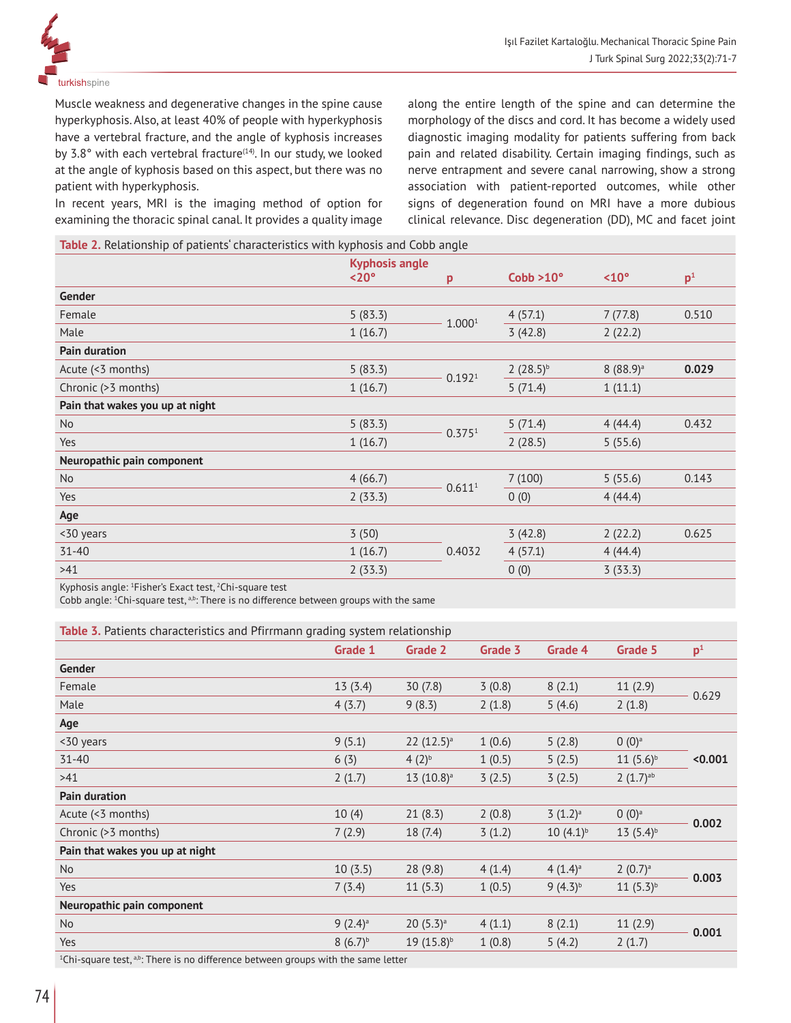

Muscle weakness and degenerative changes in the spine cause hyperkyphosis. Also, at least 40% of people with hyperkyphosis have a vertebral fracture, and the angle of kyphosis increases by 3.8 $\degree$  with each vertebral fracture<sup>(14)</sup>. In our study, we looked at the angle of kyphosis based on this aspect, but there was no patient with hyperkyphosis.

In recent years, MRI is the imaging method of option for examining the thoracic spinal canal. It provides a quality image along the entire length of the spine and can determine the morphology of the discs and cord. It has become a widely used diagnostic imaging modality for patients suffering from back pain and related disability. Certain imaging findings, such as nerve entrapment and severe canal narrowing, show a strong association with patient-reported outcomes, while other signs of degeneration found on MRI have a more dubious clinical relevance. Disc degeneration (DD), MC and facet joint

**Table 2.** Relationship of patients' characteristics with kyphosis and Cobb angle

|                                 | <b>Kyphosis angle</b><br>$<$ 20 $^{\circ}$ | p                  | Cobb > 10°    | $< 10^{\circ}$         | p <sup>1</sup> |
|---------------------------------|--------------------------------------------|--------------------|---------------|------------------------|----------------|
| Gender                          |                                            |                    |               |                        |                |
| Female                          | 5(83.3)                                    | 1.0001             | 4(57.1)       | 7(77.8)                | 0.510          |
| Male                            | 1(16.7)                                    |                    | 3(42.8)       | 2(22.2)                |                |
| <b>Pain duration</b>            |                                            |                    |               |                        |                |
| Acute (<3 months)               | 5(83.3)                                    | 0.192 <sup>1</sup> | $2(28.5)^{b}$ | $8(88.9)$ <sup>a</sup> | 0.029          |
| Chronic (>3 months)             | 1(16.7)                                    |                    | 5(71.4)       | 1(11.1)                |                |
| Pain that wakes you up at night |                                            |                    |               |                        |                |
| <b>No</b>                       | 5(83.3)                                    | 0.375 <sup>1</sup> | 5(71.4)       | 4(44.4)                | 0.432          |
| Yes                             | 1(16.7)                                    |                    | 2(28.5)       | 5(55.6)                |                |
| Neuropathic pain component      |                                            |                    |               |                        |                |
| <b>No</b>                       | 4(66.7)                                    | 0.611 <sup>1</sup> | 7(100)        | 5(55.6)                | 0.143          |
| Yes                             | 2(33.3)                                    |                    | 0(0)          | 4(44.4)                |                |
| Age                             |                                            |                    |               |                        |                |
| <30 years                       | 3(50)                                      |                    | 3(42.8)       | 2(22.2)                | 0.625          |
| $31 - 40$                       | 1(16.7)                                    | 0.4032             | 4(57.1)       | 4(44.4)                |                |
| >41                             | 2(33.3)                                    |                    | 0(0)          | 3(33.3)                |                |
|                                 |                                            |                    |               |                        |                |

Kyphosis angle: 1 Fisher's Exact test, 2 Chi-square test

Cobb angle:  ${}^{1}$ Chi-square test,  ${}^{ab}$ : There is no difference between groups with the same

| Table 3. Patients characteristics and Pfirrmann grading system relationship |                       |                         |         |                       |                        |                |
|-----------------------------------------------------------------------------|-----------------------|-------------------------|---------|-----------------------|------------------------|----------------|
|                                                                             | Grade 1               | Grade 2                 | Grade 3 | Grade 4               | Grade 5                | p <sup>1</sup> |
| Gender                                                                      |                       |                         |         |                       |                        |                |
| Female                                                                      | 13(3.4)               | 30(7.8)                 | 3(0.8)  | 8(2.1)                | 11(2.9)                | 0.629          |
| Male                                                                        | 4(3.7)                | 9(8.3)                  | 2(1.8)  | 5(4.6)                | 2(1.8)                 |                |
| Age                                                                         |                       |                         |         |                       |                        |                |
| <30 years                                                                   | 9(5.1)                | $22(12.5)$ <sup>a</sup> | 1(0.6)  | 5(2.8)                | $0(0)^a$               |                |
| $31 - 40$                                                                   | 6(3)                  | $(2)^{b}$               | 1(0.5)  | 5(2.5)                | $11(5.6)^b$            | < 0.001        |
| >41                                                                         | 2(1.7)                | $13(10.8)^a$            | 3(2.5)  | 3(2.5)                | $2(1.7)$ <sup>ab</sup> |                |
| <b>Pain duration</b>                                                        |                       |                         |         |                       |                        |                |
| Acute (<3 months)                                                           | 10(4)                 | 21(8.3)                 | 2(0.8)  | $(1.2)^a$             | $0(0)^a$               | 0.002          |
| Chronic (>3 months)                                                         | 7(2.9)                | 18(7.4)                 | 3(1.2)  | $10(4.1)^{b}$         | $13(5.4)^{b}$          |                |
| Pain that wakes you up at night                                             |                       |                         |         |                       |                        |                |
| No                                                                          | 10(3.5)               | 28 (9.8)                | 4(1.4)  | $4(1.4)$ <sup>a</sup> | $2(0.7)$ <sup>a</sup>  | 0.003          |
| Yes                                                                         | 7(3.4)                | 11(5.3)                 | 1(0.5)  | $9(4.3)^{b}$          | $11(5.3)^{b}$          |                |
| Neuropathic pain component                                                  |                       |                         |         |                       |                        |                |
| No                                                                          | $9(2.4)$ <sup>a</sup> | $20(5.3)$ <sup>a</sup>  | 4(1.1)  | 8(2.1)                | 11(2.9)                |                |
|                                                                             |                       |                         |         |                       |                        | 0.001          |

Yes 8 (6.7) $\frac{8}{19}$  (15.8) $\frac{1}{10.8}$  19 (15.8) $\frac{1}{2}$  (1.8) 5 (4.2) 2 (1.7)

 $^{1}$ Chi-square test,  $^{ab}$ : There is no difference between groups with the same letter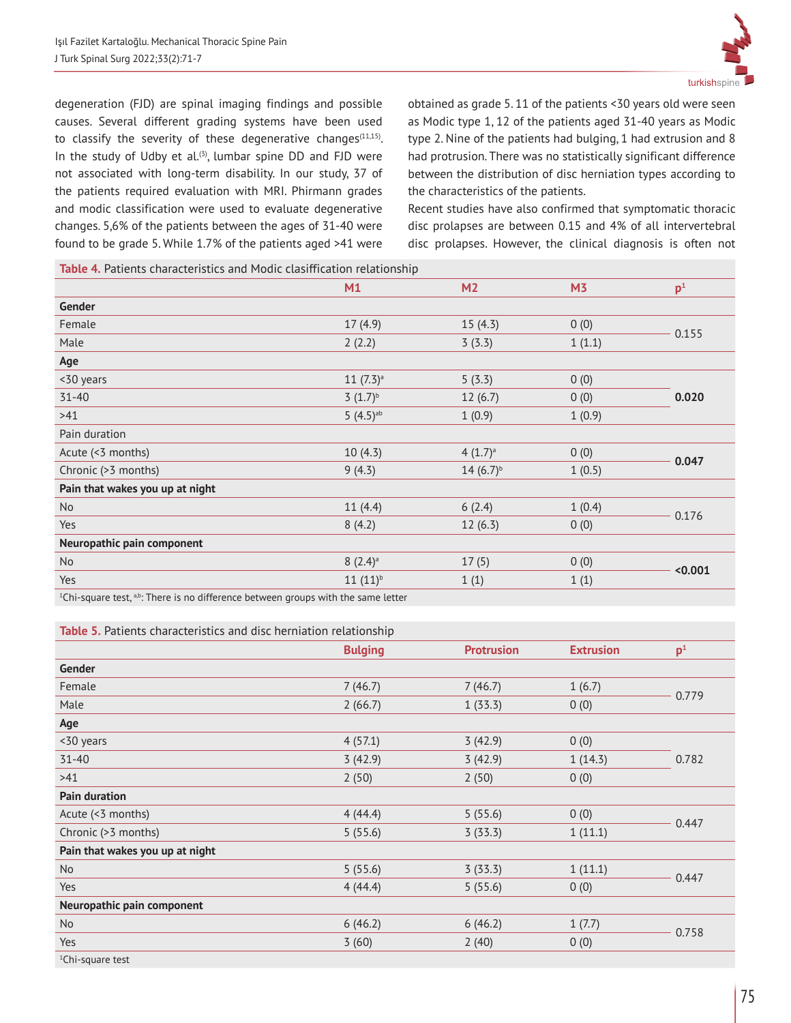

degeneration (FJD) are spinal imaging findings and possible causes. Several different grading systems have been used to classify the severity of these degenerative changes $(11,15)$ . In the study of Udby et al.<sup>(3)</sup>, lumbar spine DD and FJD were not associated with long-term disability. In our study, 37 of the patients required evaluation with MRI. Phirmann grades and modic classification were used to evaluate degenerative changes. 5,6% of the patients between the ages of 31-40 were found to be grade 5. While 1.7% of the patients aged >41 were obtained as grade 5. 11 of the patients <30 years old were seen as Modic type 1, 12 of the patients aged 31-40 years as Modic type 2. Nine of the patients had bulging, 1 had extrusion and 8 had protrusion. There was no statistically significant difference between the distribution of disc herniation types according to the characteristics of the patients.

Recent studies have also confirmed that symptomatic thoracic disc prolapses are between 0.15 and 4% of all intervertebral disc prolapses. However, the clinical diagnosis is often not

**Table 4.** Patients characteristics and Modic clasiffication relationship

| ationics characteristics and ribale clasimication relationship                  |                        |                       |                |                |
|---------------------------------------------------------------------------------|------------------------|-----------------------|----------------|----------------|
|                                                                                 | M1                     | M <sub>2</sub>        | M <sub>3</sub> | p <sup>1</sup> |
| Gender                                                                          |                        |                       |                |                |
| Female                                                                          | 17(4.9)                | 15(4.3)               | 0(0)           |                |
| Male                                                                            | 2(2.2)                 | 3(3.3)                | 1(1.1)         | 0.155          |
| Age                                                                             |                        |                       |                |                |
| <30 years                                                                       | $11(7.3)$ <sup>a</sup> | 5(3.3)                | 0(0)           |                |
| $31 - 40$                                                                       | $(1.7)^{b}$            | 12(6.7)               | 0(0)           | 0.020          |
| >41                                                                             | $5(4.5)$ <sup>ab</sup> | 1(0.9)                | 1(0.9)         |                |
| Pain duration                                                                   |                        |                       |                |                |
| Acute (<3 months)                                                               | 10(4.3)                | $4(1.7)$ <sup>a</sup> | 0(0)           |                |
| Chronic (>3 months)                                                             | 9(4.3)                 | $14(6.7)^{b}$         | 1(0.5)         | 0.047          |
| Pain that wakes you up at night                                                 |                        |                       |                |                |
| N <sub>o</sub>                                                                  | 11(4.4)                | 6(2.4)                | 1(0.4)         |                |
| Yes                                                                             | 8(4.2)                 | 12(6.3)               | 0(0)           | 0.176          |
| Neuropathic pain component                                                      |                        |                       |                |                |
| <b>No</b>                                                                       | $8(2.4)$ <sup>a</sup>  | 17(5)                 | 0(0)           |                |
| Yes                                                                             | $11(11)^{b}$           | 1(1)                  | 1(1)           | < 0.001        |
| 1Chi square test abi-There is no difference between groups with the same letter |                        |                       |                |                |

 $^{1}$ Chi-square test,  $^{a,b}$ : There is no difference between groups with the same letter

**Table 5.** Patients characteristics and disc herniation relationship

| <b>Papie 3.</b> Patronts characteristics and disc normation retationship |                |                   |                  |                |
|--------------------------------------------------------------------------|----------------|-------------------|------------------|----------------|
|                                                                          | <b>Bulging</b> | <b>Protrusion</b> | <b>Extrusion</b> | p <sup>1</sup> |
| Gender                                                                   |                |                   |                  |                |
| Female                                                                   | 7(46.7)        | 7(46.7)           | 1(6.7)           |                |
| Male                                                                     | 2(66.7)        | 1(33.3)           | 0(0)             | 0.779          |
| Age                                                                      |                |                   |                  |                |
| <30 years                                                                | 4(57.1)        | 3(42.9)           | 0(0)             |                |
| $31 - 40$                                                                | 3(42.9)        | 3(42.9)           | 1(14.3)          | 0.782          |
| >41                                                                      | 2(50)          | 2(50)             | 0(0)             |                |
| <b>Pain duration</b>                                                     |                |                   |                  |                |
| Acute (<3 months)                                                        | 4(44.4)        | 5(55.6)           | 0(0)             | 0.447          |
| Chronic (>3 months)                                                      | 5(55.6)        | 3(33.3)           | 1(11.1)          |                |
| Pain that wakes you up at night                                          |                |                   |                  |                |
| No                                                                       | 5(55.6)        | 3(33.3)           | 1(11.1)          |                |
| Yes                                                                      | 4(44.4)        | 5(55.6)           | 0(0)             | 0.447          |
| Neuropathic pain component                                               |                |                   |                  |                |
| <b>No</b>                                                                | 6(46.2)        | 6(46.2)           | 1(7.7)           |                |
| Yes                                                                      | 3(60)          | 2(40)             | 0(0)             | 0.758          |
| <sup>1</sup> Chi-square test                                             |                |                   |                  |                |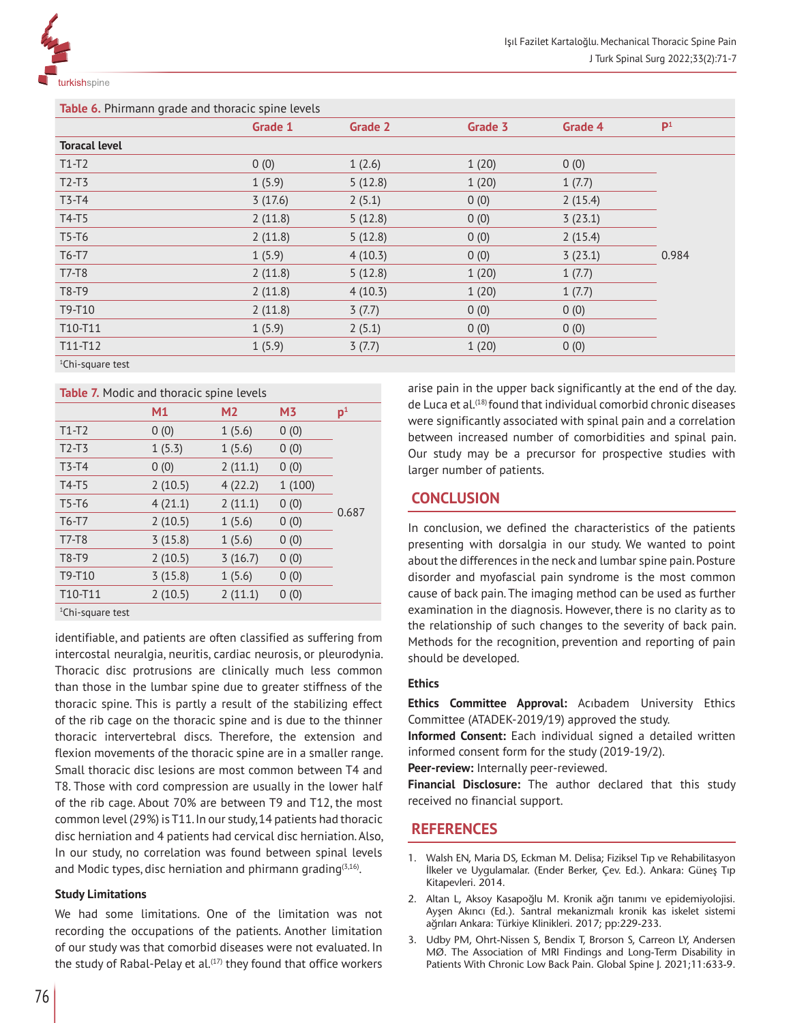

| Table 6. Phirmann grade and thoracic spine levels |         |         |         |                |  |
|---------------------------------------------------|---------|---------|---------|----------------|--|
| Grade 1                                           | Grade 2 | Grade 3 | Grade 4 | P <sup>1</sup> |  |
|                                                   |         |         |         |                |  |
| 0(0)                                              | 1(2.6)  | 1(20)   | 0(0)    |                |  |
| 1(5.9)                                            | 5(12.8) | 1(20)   | 1(7.7)  |                |  |
| 3(17.6)                                           | 2(5.1)  | 0(0)    | 2(15.4) |                |  |
| 2(11.8)                                           | 5(12.8) | 0(0)    | 3(23.1) |                |  |
| 2(11.8)                                           | 5(12.8) | 0(0)    | 2(15.4) |                |  |
| 1(5.9)                                            | 4(10.3) | 0(0)    | 3(23.1) | 0.984          |  |
| 2(11.8)                                           | 5(12.8) | 1(20)   | 1(7.7)  |                |  |
| 2(11.8)                                           | 4(10.3) | 1(20)   | 1(7.7)  |                |  |
| 2(11.8)                                           | 3(7.7)  | 0(0)    | 0(0)    |                |  |
| 1(5.9)                                            | 2(5.1)  | 0(0)    | 0(0)    |                |  |
| 1(5.9)                                            | 3(7.7)  | 1(20)   | 0(0)    |                |  |
|                                                   |         |         |         |                |  |

1 Chi-square test

#### **Table 7.** Modic and thoracic spine levels

|                  | M1      | M <sub>2</sub> | M <sub>3</sub> | p <sup>1</sup> |
|------------------|---------|----------------|----------------|----------------|
| $T1-T2$          | 0(0)    | 1(5.6)         | 0(0)           |                |
| $T2-T3$          | 1(5.3)  | 1(5.6)         | 0(0)           |                |
| $T3-T4$          | 0(0)    | 2(11.1)        | 0(0)           |                |
| $T4-T5$          | 2(10.5) | 4(22.2)        | 1(100)         |                |
| T5-T6            | 4(21.1) | 2(11.1)        | 0(0)           | 0.687          |
| $T6-T7$          | 2(10.5) | 1(5.6)         | 0(0)           |                |
| $T7-T8$          | 3(15.8) | 1(5.6)         | 0(0)           |                |
| T8-T9            | 2(10.5) | 3(16.7)        | 0(0)           |                |
| T9-T10           | 3(15.8) | 1(5.6)         | 0(0)           |                |
| T10-T11          | 2(10.5) | 2(11.1)        | 0(0)           |                |
| $10-12$ $-20-12$ |         |                |                |                |

1 Chi-square test

identifiable, and patients are often classified as suffering from intercostal neuralgia, neuritis, cardiac neurosis, or pleurodynia. Thoracic disc protrusions are clinically much less common than those in the lumbar spine due to greater stiffness of the thoracic spine. This is partly a result of the stabilizing effect of the rib cage on the thoracic spine and is due to the thinner thoracic intervertebral discs. Therefore, the extension and flexion movements of the thoracic spine are in a smaller range. Small thoracic disc lesions are most common between T4 and T8. Those with cord compression are usually in the lower half of the rib cage. About 70% are between T9 and T12, the most common level (29%) is T11. In our study, 14 patients had thoracic disc herniation and 4 patients had cervical disc herniation. Also, In our study, no correlation was found between spinal levels and Modic types, disc herniation and phirmann grading  $(3,16)$ .

#### **Study Limitations**

We had some limitations. One of the limitation was not recording the occupations of the patients. Another limitation of our study was that comorbid diseases were not evaluated. In the study of Rabal-Pelay et al. $(17)$  they found that office workers arise pain in the upper back significantly at the end of the day. de Luca et al.(18) found that individual comorbid chronic diseases were significantly associated with spinal pain and a correlation between increased number of comorbidities and spinal pain. Our study may be a precursor for prospective studies with larger number of patients.

## **CONCLUSION**

In conclusion, we defined the characteristics of the patients presenting with dorsalgia in our study. We wanted to point about the differences in the neck and lumbar spine pain. Posture disorder and myofascial pain syndrome is the most common cause of back pain. The imaging method can be used as further examination in the diagnosis. However, there is no clarity as to the relationship of such changes to the severity of back pain. Methods for the recognition, prevention and reporting of pain should be developed.

## **Ethics**

**Ethics Committee Approval:** Acıbadem University Ethics Committee (ATADEK-2019/19) approved the study.

**Informed Consent:** Each individual signed a detailed written informed consent form for the study (2019-19/2).

**Peer-review:** Internally peer-reviewed.

**Financial Disclosure:** The author declared that this study received no financial support.

# **REFERENCES**

- 1. Walsh EN, Maria DS, Eckman M. Delisa; Fiziksel Tıp ve Rehabilitasyon İlkeler ve Uygulamalar. (Ender Berker, Çev. Ed.). Ankara: Güneş Tıp Kitapevleri. 2014.
- 2. Altan L, Aksoy Kasapoğlu M. Kronik ağrı tanımı ve epidemiyolojisi. Ayşen Akıncı (Ed.). Santral mekanizmalı kronik kas iskelet sistemi ağrıları Ankara: Türkiye Klinikleri. 2017; pp:229-233.
- 3. Udby PM, Ohrt-Nissen S, Bendix T, Brorson S, Carreon LY, Andersen MØ. The Association of MRI Findings and Long-Term Disability in Patients With Chronic Low Back Pain. Global Spine J. 2021;11:633-9.